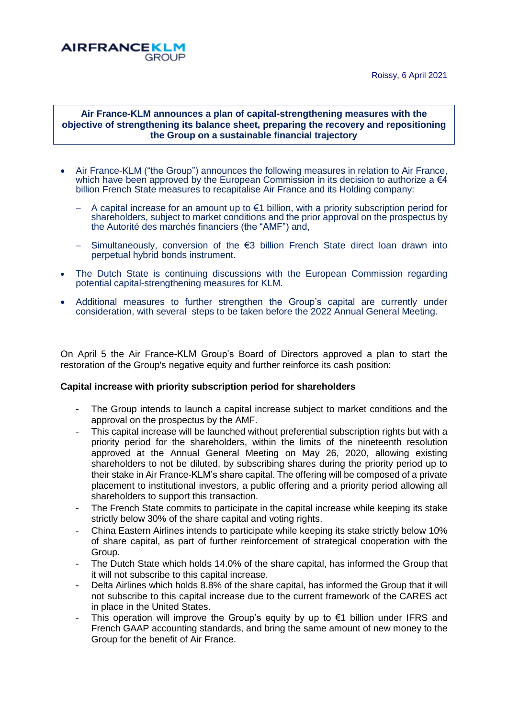Roissy, 6 April 2021



# **Air France-KLM announces a plan of capital-strengthening measures with the objective of strengthening its balance sheet, preparing the recovery and repositioning the Group on a sustainable financial trajectory**

- Air France-KLM ("the Group") announces the following measures in relation to Air France, which have been approved by the European Commission in its decision to authorize a  $\epsilon 4$ billion French State measures to recapitalise Air France and its Holding company:
	- A capital increase for an amount up to €1 billion, with a priority subscription period for shareholders, subject to market conditions and the prior approval on the prospectus by the Autorité des marchés financiers (the "AMF") and,
	- Simultaneously, conversion of the €3 billion French State direct loan drawn into perpetual hybrid bonds instrument.
- The Dutch State is continuing discussions with the European Commission regarding potential capital-strengthening measures for KLM.
- Additional measures to further strengthen the Group's capital are currently under consideration, with several steps to be taken before the 2022 Annual General Meeting.

On April 5 the Air France-KLM Group's Board of Directors approved a plan to start the restoration of the Group's negative equity and further reinforce its cash position:

### **Capital increase with priority subscription period for shareholders**

- The Group intends to launch a capital increase subject to market conditions and the approval on the prospectus by the AMF.
- This capital increase will be launched without preferential subscription rights but with a priority period for the shareholders, within the limits of the nineteenth resolution approved at the Annual General Meeting on May 26, 2020, allowing existing shareholders to not be diluted, by subscribing shares during the priority period up to their stake in Air France-KLM's share capital. The offering will be composed of a private placement to institutional investors, a public offering and a priority period allowing all shareholders to support this transaction.
- The French State commits to participate in the capital increase while keeping its stake strictly below 30% of the share capital and voting rights.
- China Eastern Airlines intends to participate while keeping its stake strictly below 10% of share capital, as part of further reinforcement of strategical cooperation with the Group.
- The Dutch State which holds 14.0% of the share capital, has informed the Group that it will not subscribe to this capital increase.
- Delta Airlines which holds 8.8% of the share capital, has informed the Group that it will not subscribe to this capital increase due to the current framework of the CARES act in place in the United States.
- This operation will improve the Group's equity by up to  $\epsilon$ 1 billion under IFRS and French GAAP accounting standards, and bring the same amount of new money to the Group for the benefit of Air France.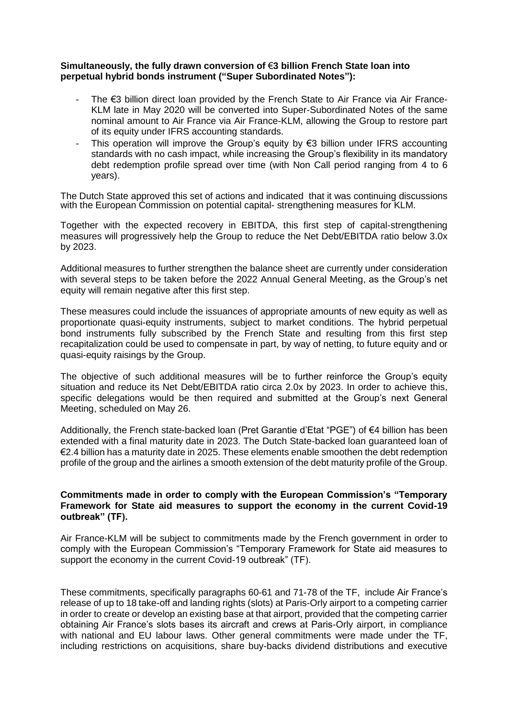# **Simultaneously, the fully drawn conversion of** €**3 billion French State loan into perpetual hybrid bonds instrument ("Super Subordinated Notes"):**

- The  $\epsilon$ 3 billion direct loan provided by the French State to Air France via Air France-KLM late in May 2020 will be converted into Super-Subordinated Notes of the same nominal amount to Air France via Air France-KLM, allowing the Group to restore part of its equity under IFRS accounting standards.
- This operation will improve the Group's equity by  $\epsilon$ 3 billion under IFRS accounting standards with no cash impact, while increasing the Group's flexibility in its mandatory debt redemption profile spread over time (with Non Call period ranging from 4 to 6 years).

The Dutch State approved this set of actions and indicated that it was continuing discussions with the European Commission on potential capital- strengthening measures for KLM.

Together with the expected recovery in EBITDA, this first step of capital-strengthening measures will progressively help the Group to reduce the Net Debt/EBITDA ratio below 3.0x by 2023.

Additional measures to further strengthen the balance sheet are currently under consideration with several steps to be taken before the 2022 Annual General Meeting, as the Group's net equity will remain negative after this first step.

These measures could include the issuances of appropriate amounts of new equity as well as proportionate quasi-equity instruments, subject to market conditions. The hybrid perpetual bond instruments fully subscribed by the French State and resulting from this first step recapitalization could be used to compensate in part, by way of netting, to future equity and or quasi-equity raisings by the Group.

The objective of such additional measures will be to further reinforce the Group's equity situation and reduce its Net Debt/EBITDA ratio circa 2.0x by 2023. In order to achieve this, specific delegations would be then required and submitted at the Group's next General Meeting, scheduled on May 26.

Additionally, the French state-backed loan (Pret Garantie d'Etat "PGE") of €4 billion has been extended with a final maturity date in 2023. The Dutch State-backed loan guaranteed loan of €2.4 billion has a maturity date in 2025. These elements enable smoothen the debt redemption profile of the group and the airlines a smooth extension of the debt maturity profile of the Group.

# **Commitments made in order to comply with the European Commission's "Temporary Framework for State aid measures to support the economy in the current Covid-19 outbreak" (TF).**

Air France-KLM will be subject to commitments made by the French government in order to comply with the European Commission's "Temporary Framework for State aid measures to support the economy in the current Covid-19 outbreak" (TF).

These commitments, specifically paragraphs 60-61 and 71-78 of the TF, include Air France's release of up to 18 take-off and landing rights (slots) at Paris-Orly airport to a competing carrier in order to create or develop an existing base at that airport, provided that the competing carrier obtaining Air France's slots bases its aircraft and crews at Paris-Orly airport, in compliance with national and EU labour laws. Other general commitments were made under the TF, including restrictions on acquisitions, share buy-backs dividend distributions and executive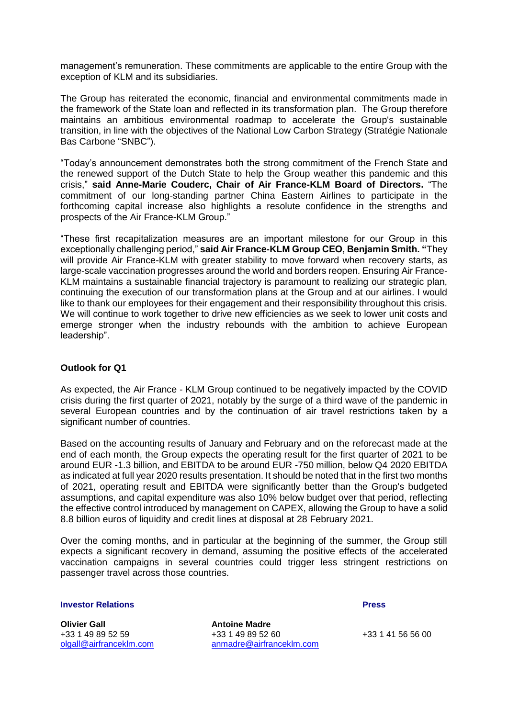management's remuneration. These commitments are applicable to the entire Group with the exception of KLM and its subsidiaries.

The Group has reiterated the economic, financial and environmental commitments made in the framework of the State loan and reflected in its transformation plan. The Group therefore maintains an ambitious environmental roadmap to accelerate the Group's sustainable transition, in line with the objectives of the National Low Carbon Strategy (Stratégie Nationale Bas Carbone "SNBC").

"Today's announcement demonstrates both the strong commitment of the French State and the renewed support of the Dutch State to help the Group weather this pandemic and this crisis," **said Anne-Marie Couderc, Chair of Air France-KLM Board of Directors.** "The commitment of our long-standing partner China Eastern Airlines to participate in the forthcoming capital increase also highlights a resolute confidence in the strengths and prospects of the Air France-KLM Group."

"These first recapitalization measures are an important milestone for our Group in this exceptionally challenging period," **said Air France-KLM Group CEO, Benjamin Smith. "**They will provide Air France-KLM with greater stability to move forward when recovery starts, as large-scale vaccination progresses around the world and borders reopen. Ensuring Air France-KLM maintains a sustainable financial trajectory is paramount to realizing our strategic plan, continuing the execution of our transformation plans at the Group and at our airlines. I would like to thank our employees for their engagement and their responsibility throughout this crisis. We will continue to work together to drive new efficiencies as we seek to lower unit costs and emerge stronger when the industry rebounds with the ambition to achieve European leadership".

# **Outlook for Q1**

As expected, the Air France - KLM Group continued to be negatively impacted by the COVID crisis during the first quarter of 2021, notably by the surge of a third wave of the pandemic in several European countries and by the continuation of air travel restrictions taken by a significant number of countries.

Based on the accounting results of January and February and on the reforecast made at the end of each month, the Group expects the operating result for the first quarter of 2021 to be around EUR -1.3 billion, and EBITDA to be around EUR -750 million, below Q4 2020 EBITDA as indicated at full year 2020 results presentation. It should be noted that in the first two months of 2021, operating result and EBITDA were significantly better than the Group's budgeted assumptions, and capital expenditure was also 10% below budget over that period, reflecting the effective control introduced by management on CAPEX, allowing the Group to have a solid 8.8 billion euros of liquidity and credit lines at disposal at 28 February 2021.

Over the coming months, and in particular at the beginning of the summer, the Group still expects a significant recovery in demand, assuming the positive effects of the accelerated vaccination campaigns in several countries could trigger less stringent restrictions on passenger travel across those countries.

## **Investor Relations Press**

**Olivier Gall Community Community Antoine Madre** 

+33 1 49 89 52 59 +33 1 49 89 52 60 +33 1 49 89 52 60 [olgall@airfranceklm.com](mailto:olgall@airfranceklm.com) [anmadre@airfranceklm.com](mailto:anmadre@airfranceklm.com)